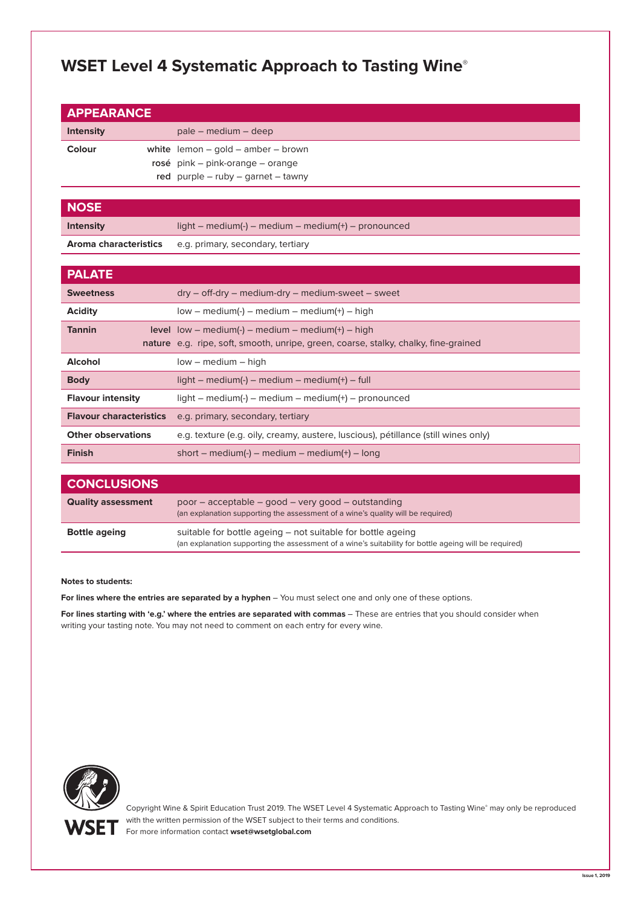# **WSET Level 4 Systematic Approach to Tasting Wine**®

| <b>APPEARANCE</b> |                                          |
|-------------------|------------------------------------------|
| <b>Intensity</b>  | pale – medium – deep                     |
| Colour            | white $l$ emon – gold – amber – brown    |
|                   | rosé pink – pink-orange – orange         |
|                   | red purple $-$ ruby $-$ garnet $-$ tawny |
|                   |                                          |

# **NOSE**

**Intensity** light – medium(-) – medium – medium(+) – pronounced

**Aroma characteristics** e.g. primary, secondary, tertiary

| <b>PALATE</b>                  |                                                                                                                                                   |
|--------------------------------|---------------------------------------------------------------------------------------------------------------------------------------------------|
| <b>Sweetness</b>               | $dry - off-dry - medium-dry - medium-sweet - sweet$                                                                                               |
| <b>Acidity</b>                 | $low - medium(-) - medium - medium(+) - high$                                                                                                     |
| <b>Tannin</b>                  | <b>level</b> $low - medium(-) - medium - medium(+) - high$<br>nature e.g. ripe, soft, smooth, unripe, green, coarse, stalky, chalky, fine-grained |
| <b>Alcohol</b>                 | $low - medium - high$                                                                                                                             |
| <b>Body</b>                    | $light - medium(-) - medium - medium(+) - full$                                                                                                   |
| <b>Flavour intensity</b>       | $light - medium(-) - medium - medium(+) - pronounced$                                                                                             |
| <b>Flavour characteristics</b> | e.g. primary, secondary, tertiary                                                                                                                 |
| <b>Other observations</b>      | e.g. texture (e.g. oily, creamy, austere, luscious), pétillance (still wines only)                                                                |
| <b>Finish</b>                  | short – medium(-) – medium – medium(+) – long                                                                                                     |

| <b>CONCLUSIONS</b>        |                                                                                                                                                                      |
|---------------------------|----------------------------------------------------------------------------------------------------------------------------------------------------------------------|
| <b>Quality assessment</b> | poor – acceptable – good – very good – outstanding<br>(an explanation supporting the assessment of a wine's quality will be required)                                |
| <b>Bottle ageing</b>      | suitable for bottle ageing – not suitable for bottle ageing<br>(an explanation supporting the assessment of a wine's suitability for bottle ageing will be required) |

#### **Notes to students:**

**For lines where the entries are separated by a hyphen** – You must select one and only one of these options.

**For lines starting with 'e.g.' where the entries are separated with commas** – These are entries that you should consider when writing your tasting note. You may not need to comment on each entry for every wine.



Copyright Wine & Spirit Education Trust 2019. The WSET Level 4 Systematic Approach to Tasting Wine® may only be reproduced with the written permission of the WSET subject to their terms and conditions. For more information contact **wset@wsetglobal.com**